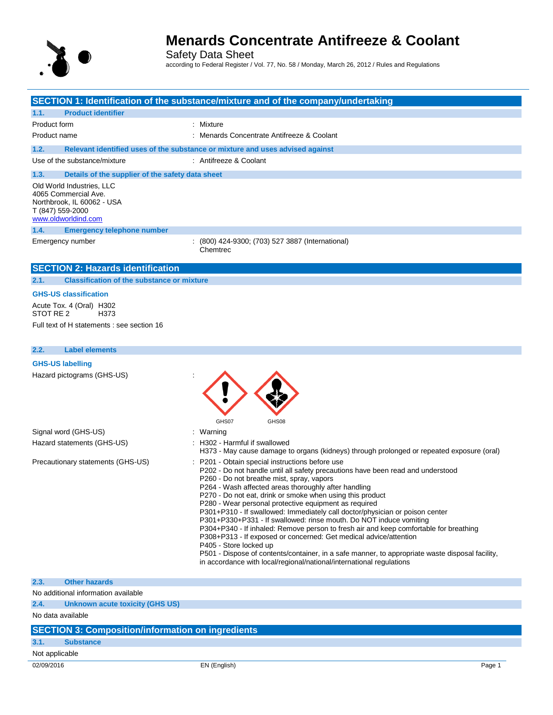

Safety Data Sheet according to Federal Register / Vol. 77, No. 58 / Monday, March 26, 2012 / Rules and Regulations

|                                                                                                                            | SECTION 1: Identification of the substance/mixture and of the company/undertaking                                                                                                                                                                                                                                                                                                                                                                                                                                                                                                                                                                                                                                                                                                                                                                                                      |
|----------------------------------------------------------------------------------------------------------------------------|----------------------------------------------------------------------------------------------------------------------------------------------------------------------------------------------------------------------------------------------------------------------------------------------------------------------------------------------------------------------------------------------------------------------------------------------------------------------------------------------------------------------------------------------------------------------------------------------------------------------------------------------------------------------------------------------------------------------------------------------------------------------------------------------------------------------------------------------------------------------------------------|
| <b>Product identifier</b><br>1.1.                                                                                          |                                                                                                                                                                                                                                                                                                                                                                                                                                                                                                                                                                                                                                                                                                                                                                                                                                                                                        |
|                                                                                                                            | : Mixture                                                                                                                                                                                                                                                                                                                                                                                                                                                                                                                                                                                                                                                                                                                                                                                                                                                                              |
| Product form<br>Product name                                                                                               | : Menards Concentrate Antifreeze & Coolant                                                                                                                                                                                                                                                                                                                                                                                                                                                                                                                                                                                                                                                                                                                                                                                                                                             |
|                                                                                                                            |                                                                                                                                                                                                                                                                                                                                                                                                                                                                                                                                                                                                                                                                                                                                                                                                                                                                                        |
| 1.2.                                                                                                                       | Relevant identified uses of the substance or mixture and uses advised against                                                                                                                                                                                                                                                                                                                                                                                                                                                                                                                                                                                                                                                                                                                                                                                                          |
| Use of the substance/mixture                                                                                               | : Antifreeze & Coolant                                                                                                                                                                                                                                                                                                                                                                                                                                                                                                                                                                                                                                                                                                                                                                                                                                                                 |
| 1.3.<br>Details of the supplier of the safety data sheet                                                                   |                                                                                                                                                                                                                                                                                                                                                                                                                                                                                                                                                                                                                                                                                                                                                                                                                                                                                        |
| Old World Industries, LLC<br>4065 Commercial Ave.<br>Northbrook, IL 60062 - USA<br>T (847) 559-2000<br>www.oldworldind.com |                                                                                                                                                                                                                                                                                                                                                                                                                                                                                                                                                                                                                                                                                                                                                                                                                                                                                        |
| 1.4.<br><b>Emergency telephone number</b>                                                                                  |                                                                                                                                                                                                                                                                                                                                                                                                                                                                                                                                                                                                                                                                                                                                                                                                                                                                                        |
| Emergency number                                                                                                           | : (800) 424-9300; (703) 527 3887 (International)<br>Chemtrec                                                                                                                                                                                                                                                                                                                                                                                                                                                                                                                                                                                                                                                                                                                                                                                                                           |
| <b>SECTION 2: Hazards identification</b>                                                                                   |                                                                                                                                                                                                                                                                                                                                                                                                                                                                                                                                                                                                                                                                                                                                                                                                                                                                                        |
| <b>Classification of the substance or mixture</b><br>2.1.                                                                  |                                                                                                                                                                                                                                                                                                                                                                                                                                                                                                                                                                                                                                                                                                                                                                                                                                                                                        |
| <b>GHS-US classification</b>                                                                                               |                                                                                                                                                                                                                                                                                                                                                                                                                                                                                                                                                                                                                                                                                                                                                                                                                                                                                        |
| Acute Tox. 4 (Oral) H302<br>STOT RE 2<br>H373                                                                              |                                                                                                                                                                                                                                                                                                                                                                                                                                                                                                                                                                                                                                                                                                                                                                                                                                                                                        |
| Full text of H statements : see section 16                                                                                 |                                                                                                                                                                                                                                                                                                                                                                                                                                                                                                                                                                                                                                                                                                                                                                                                                                                                                        |
|                                                                                                                            |                                                                                                                                                                                                                                                                                                                                                                                                                                                                                                                                                                                                                                                                                                                                                                                                                                                                                        |
| <b>Label elements</b><br>2.2.                                                                                              |                                                                                                                                                                                                                                                                                                                                                                                                                                                                                                                                                                                                                                                                                                                                                                                                                                                                                        |
| <b>GHS-US labelling</b>                                                                                                    |                                                                                                                                                                                                                                                                                                                                                                                                                                                                                                                                                                                                                                                                                                                                                                                                                                                                                        |
| Hazard pictograms (GHS-US)                                                                                                 | GHS07<br>GHS08                                                                                                                                                                                                                                                                                                                                                                                                                                                                                                                                                                                                                                                                                                                                                                                                                                                                         |
| Signal word (GHS-US)                                                                                                       | : Warning                                                                                                                                                                                                                                                                                                                                                                                                                                                                                                                                                                                                                                                                                                                                                                                                                                                                              |
| Hazard statements (GHS-US)                                                                                                 | : H302 - Harmful if swallowed<br>H373 - May cause damage to organs (kidneys) through prolonged or repeated exposure (oral)                                                                                                                                                                                                                                                                                                                                                                                                                                                                                                                                                                                                                                                                                                                                                             |
| Precautionary statements (GHS-US)                                                                                          | : P201 - Obtain special instructions before use<br>P202 - Do not handle until all safety precautions have been read and understood<br>P260 - Do not breathe mist, spray, vapors<br>P264 - Wash affected areas thoroughly after handling<br>P270 - Do not eat, drink or smoke when using this product<br>P280 - Wear personal protective equipment as required<br>P301+P310 - If swallowed: Immediately call doctor/physician or poison center<br>P301+P330+P331 - If swallowed: rinse mouth. Do NOT induce vomiting<br>P304+P340 - If inhaled: Remove person to fresh air and keep comfortable for breathing<br>P308+P313 - If exposed or concerned: Get medical advice/attention<br>P405 - Store locked up<br>P501 - Dispose of contents/container, in a safe manner, to appropriate waste disposal facility,<br>in accordance with local/regional/national/international regulations |
| 2.3.<br><b>Other hazards</b>                                                                                               |                                                                                                                                                                                                                                                                                                                                                                                                                                                                                                                                                                                                                                                                                                                                                                                                                                                                                        |
| No additional information available                                                                                        |                                                                                                                                                                                                                                                                                                                                                                                                                                                                                                                                                                                                                                                                                                                                                                                                                                                                                        |
| 2.4.<br><b>Unknown acute toxicity (GHS US)</b>                                                                             |                                                                                                                                                                                                                                                                                                                                                                                                                                                                                                                                                                                                                                                                                                                                                                                                                                                                                        |
| No data available                                                                                                          |                                                                                                                                                                                                                                                                                                                                                                                                                                                                                                                                                                                                                                                                                                                                                                                                                                                                                        |
| <b>SECTION 3: Composition/information on ingredients</b>                                                                   |                                                                                                                                                                                                                                                                                                                                                                                                                                                                                                                                                                                                                                                                                                                                                                                                                                                                                        |

## **3.1. Substance**

### Not applicable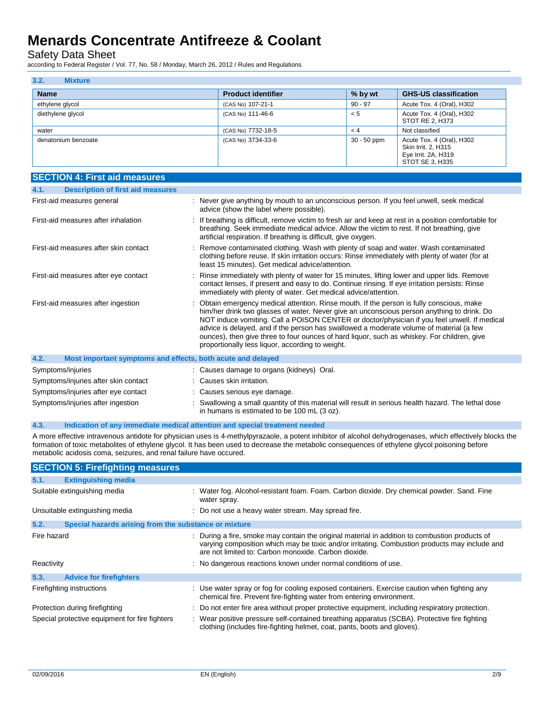Safety Data Sheet

according to Federal Register / Vol. 77, No. 58 / Monday, March 26, 2012 / Rules and Regulations

| 3.2.<br><b>Mixture</b> |                           |               |                                                                                            |
|------------------------|---------------------------|---------------|--------------------------------------------------------------------------------------------|
| <b>Name</b>            | <b>Product identifier</b> | % by wt       | <b>GHS-US classification</b>                                                               |
| ethylene glycol        | (CAS No) 107-21-1         | $90 - 97$     | Acute Tox. 4 (Oral), H302                                                                  |
| diethylene glycol      | (CAS No) 111-46-6         | < 5           | Acute Tox. 4 (Oral), H302<br>STOT RE 2, H373                                               |
| water                  | (CAS No) 7732-18-5        | < 4           | Not classified                                                                             |
| denatonium benzoate    | (CAS No) 3734-33-6        | $30 - 50$ ppm | Acute Tox. 4 (Oral), H302<br>Skin Irrit. 2, H315<br>Eye Irrit. 2A, H319<br>STOT SE 3, H335 |

| <b>SECTION 4: First aid measures</b>                                |                                                                                                                                                                                                                                                                                                                                                                                                                                                                                                                                       |
|---------------------------------------------------------------------|---------------------------------------------------------------------------------------------------------------------------------------------------------------------------------------------------------------------------------------------------------------------------------------------------------------------------------------------------------------------------------------------------------------------------------------------------------------------------------------------------------------------------------------|
| <b>Description of first aid measures</b><br>4.1.                    |                                                                                                                                                                                                                                                                                                                                                                                                                                                                                                                                       |
| First-aid measures general                                          | : Never give anything by mouth to an unconscious person. If you feel unwell, seek medical<br>advice (show the label where possible).                                                                                                                                                                                                                                                                                                                                                                                                  |
| First-aid measures after inhalation                                 | : If breathing is difficult, remove victim to fresh air and keep at rest in a position comfortable for<br>breathing. Seek immediate medical advice. Allow the victim to rest. If not breathing, give<br>artificial respiration. If breathing is difficult, give oxygen.                                                                                                                                                                                                                                                               |
| First-aid measures after skin contact                               | : Remove contaminated clothing. Wash with plenty of soap and water. Wash contaminated<br>clothing before reuse. If skin irritation occurs: Rinse immediately with plenty of water (for at<br>least 15 minutes). Get medical advice/attention.                                                                                                                                                                                                                                                                                         |
| First-aid measures after eye contact                                | : Rinse immediately with plenty of water for 15 minutes, lifting lower and upper lids. Remove<br>contact lenses, if present and easy to do. Continue rinsing. If eye irritation persists: Rinse<br>immediately with plenty of water. Get medical advice/attention.                                                                                                                                                                                                                                                                    |
| First-aid measures after ingestion                                  | : Obtain emergency medical attention. Rinse mouth. If the person is fully conscious, make<br>him/her drink two glasses of water. Never give an unconscious person anything to drink. Do<br>NOT induce vomiting. Call a POISON CENTER or doctor/physician if you feel unwell. If medical<br>advice is delayed, and if the person has swallowed a moderate volume of material (a few<br>ounces), then give three to four ounces of hard liquor, such as whiskey. For children, give<br>proportionally less liquor, according to weight. |
| 4.2.<br>Most important symptoms and effects, both acute and delayed |                                                                                                                                                                                                                                                                                                                                                                                                                                                                                                                                       |
| Symptoms/injuries                                                   | : Causes damage to organs (kidneys) Oral.                                                                                                                                                                                                                                                                                                                                                                                                                                                                                             |
| Symptoms/injuries after skin contact                                | : Causes skin irritation.                                                                                                                                                                                                                                                                                                                                                                                                                                                                                                             |
| Symptoms/injuries after eye contact                                 | Causes serious eye damage.                                                                                                                                                                                                                                                                                                                                                                                                                                                                                                            |
| Symptoms/injuries after ingestion                                   | : Swallowing a small quantity of this material will result in serious health hazard. The lethal dose                                                                                                                                                                                                                                                                                                                                                                                                                                  |

### **4.3. Indication of any immediate medical attention and special treatment needed**

A more effective intravenous antidote for physician uses is 4-methylpyrazaole, a potent inhibitor of alcohol dehydrogenases, which effectively blocks the formation of toxic metabolites of ethylene glycol. It has been used to decrease the metabolic consequences of ethylene glycol poisoning before metabolic acidosis coma, seizures, and renal failure have occured.

in humans is estimated to be 100 mL (3 oz).

|             | <b>SECTION 5: Firefighting measures</b>               |                                                                                                                                                                                                                                                         |
|-------------|-------------------------------------------------------|---------------------------------------------------------------------------------------------------------------------------------------------------------------------------------------------------------------------------------------------------------|
| 5.1.        | <b>Extinguishing media</b>                            |                                                                                                                                                                                                                                                         |
|             | Suitable extinguishing media                          | : Water fog. Alcohol-resistant foam. Foam. Carbon dioxide. Dry chemical powder. Sand. Fine<br>water spray.                                                                                                                                              |
|             | Unsuitable extinguishing media                        | : Do not use a heavy water stream. May spread fire.                                                                                                                                                                                                     |
| 5.2.        | Special hazards arising from the substance or mixture |                                                                                                                                                                                                                                                         |
| Fire hazard |                                                       | : During a fire, smoke may contain the original material in addition to combustion products of<br>varying composition which may be toxic and/or irritating. Combustion products may include and<br>are not limited to: Carbon monoxide. Carbon dioxide. |
| Reactivity  |                                                       | : No dangerous reactions known under normal conditions of use.                                                                                                                                                                                          |
| 5.3.        | <b>Advice for firefighters</b>                        |                                                                                                                                                                                                                                                         |
|             | Firefighting instructions                             | : Use water spray or fog for cooling exposed containers. Exercise caution when fighting any<br>chemical fire. Prevent fire-fighting water from entering environment.                                                                                    |
|             | Protection during firefighting                        | : Do not enter fire area without proper protective equipment, including respiratory protection.                                                                                                                                                         |
|             | Special protective equipment for fire fighters        | : Wear positive pressure self-contained breathing apparatus (SCBA). Protective fire fighting<br>clothing (includes fire-fighting helmet, coat, pants, boots and gloves).                                                                                |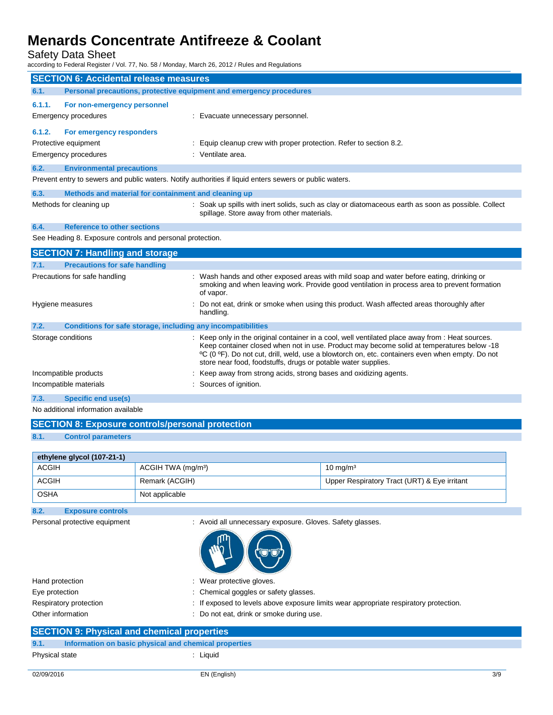Safety Data Sheet

according to Federal Register / Vol. 77, No. 58 / Monday, March 26, 2012 / Rules and Regulations

| <b>SECTION 6: Accidental release measures</b> |                                                                     |                                                                                                                                                                                                                                                                                                                                                                   |
|-----------------------------------------------|---------------------------------------------------------------------|-------------------------------------------------------------------------------------------------------------------------------------------------------------------------------------------------------------------------------------------------------------------------------------------------------------------------------------------------------------------|
| 6.1.                                          | Personal precautions, protective equipment and emergency procedures |                                                                                                                                                                                                                                                                                                                                                                   |
| 6.1.1.                                        | For non-emergency personnel                                         |                                                                                                                                                                                                                                                                                                                                                                   |
|                                               | <b>Emergency procedures</b>                                         | : Evacuate unnecessary personnel.                                                                                                                                                                                                                                                                                                                                 |
| 6.1.2.                                        | For emergency responders                                            |                                                                                                                                                                                                                                                                                                                                                                   |
|                                               | Protective equipment                                                | : Equip cleanup crew with proper protection. Refer to section 8.2.                                                                                                                                                                                                                                                                                                |
|                                               | <b>Emergency procedures</b>                                         | : Ventilate area.                                                                                                                                                                                                                                                                                                                                                 |
| 6.2.                                          | <b>Environmental precautions</b>                                    |                                                                                                                                                                                                                                                                                                                                                                   |
|                                               |                                                                     | Prevent entry to sewers and public waters. Notify authorities if liquid enters sewers or public waters.                                                                                                                                                                                                                                                           |
| 6.3.                                          | Methods and material for containment and cleaning up                |                                                                                                                                                                                                                                                                                                                                                                   |
|                                               | Methods for cleaning up                                             | : Soak up spills with inert solids, such as clay or diatomaceous earth as soon as possible. Collect<br>spillage. Store away from other materials.                                                                                                                                                                                                                 |
| 6.4.                                          | <b>Reference to other sections</b>                                  |                                                                                                                                                                                                                                                                                                                                                                   |
|                                               | See Heading 8. Exposure controls and personal protection.           |                                                                                                                                                                                                                                                                                                                                                                   |
|                                               | <b>SECTION 7: Handling and storage</b>                              |                                                                                                                                                                                                                                                                                                                                                                   |
| 7.1.                                          | <b>Precautions for safe handling</b>                                |                                                                                                                                                                                                                                                                                                                                                                   |
|                                               | Precautions for safe handling                                       | : Wash hands and other exposed areas with mild soap and water before eating, drinking or<br>smoking and when leaving work. Provide good ventilation in process area to prevent formation<br>of vapor.                                                                                                                                                             |
|                                               | Hygiene measures                                                    | Do not eat, drink or smoke when using this product. Wash affected areas thoroughly after<br>handling.                                                                                                                                                                                                                                                             |
| 7.2.                                          | Conditions for safe storage, including any incompatibilities        |                                                                                                                                                                                                                                                                                                                                                                   |
|                                               | Storage conditions                                                  | : Keep only in the original container in a cool, well ventilated place away from : Heat sources.<br>Keep container closed when not in use. Product may become solid at temperatures below -18<br>°C (0 °F). Do not cut, drill, weld, use a blowtorch on, etc. containers even when empty. Do not<br>store near food, foodstuffs, drugs or potable water supplies. |
|                                               | Incompatible products                                               | Keep away from strong acids, strong bases and oxidizing agents.                                                                                                                                                                                                                                                                                                   |
|                                               | Incompatible materials                                              | : Sources of ignition.                                                                                                                                                                                                                                                                                                                                            |
| 7.3.                                          | <b>Specific end use(s)</b>                                          |                                                                                                                                                                                                                                                                                                                                                                   |

No additional information available

| <b>SECTION 8: Exposure controls/personal protection</b> |  |
|---------------------------------------------------------|--|
|                                                         |  |

**8.1. Control parameters**

| ethylene glycol (107-21-1) |                                |                                              |
|----------------------------|--------------------------------|----------------------------------------------|
| <b>ACGIH</b>               | ACGIH TWA (mg/m <sup>3</sup> ) | 10 mg/m $3$                                  |
| <b>ACGIH</b>               | Remark (ACGIH)                 | Upper Respiratory Tract (URT) & Eye irritant |
| <b>OSHA</b>                | Not applicable                 |                                              |

**8.2. Exposure controls**

Personal protective equipment : Avoid all unnecessary exposure. Gloves. Safety glasses.



Hand protection **in the case of the contract of the CO** is wear protective gloves. Eye protection  $\qquad \qquad : \qquad$  Chemical goggles or safety glasses. Respiratory protection : If exposed to levels above exposure limits wear appropriate respiratory protection. Other information **COLO EXECUTE:** Do not eat, drink or smoke during use.

### **SECTION 9: Physical and chemical properties**

```
Physical state : Liquid
```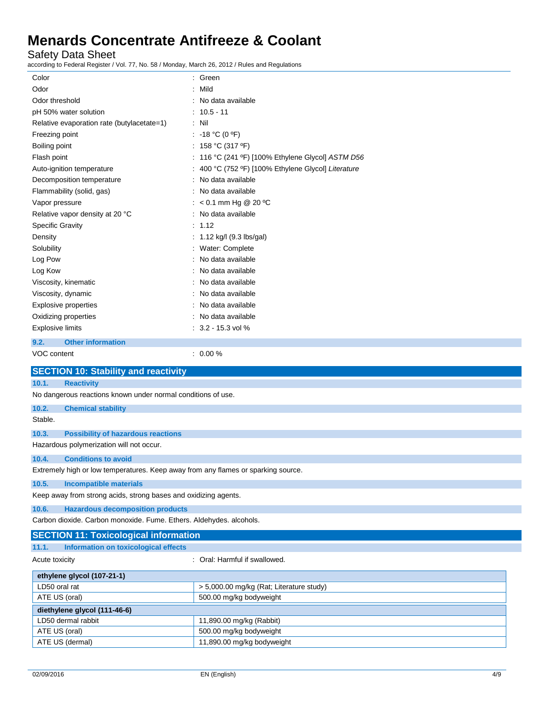Safety Data Sheet

according to Federal Register / Vol. 77, No. 58 / Monday, March 26, 2012 / Rules and Regulations

| $1000$ and $1000$ and $1000$ and $1000$ and $1100$ and $1000$ and $1000$ and $1000$ and $1000$ |                                                   |
|------------------------------------------------------------------------------------------------|---------------------------------------------------|
| Color                                                                                          | : Green                                           |
| Odor                                                                                           | Mild                                              |
| Odor threshold                                                                                 | No data available                                 |
| pH 50% water solution                                                                          | $10.5 - 11$                                       |
| Relative evaporation rate (butylacetate=1)                                                     | : Nil                                             |
| Freezing point                                                                                 | : -18 °C (0 °F)                                   |
| Boiling point                                                                                  | : 158 °C (317 °F)                                 |
| Flash point                                                                                    | 116 °C (241 °F) [100% Ethylene Glycol] ASTM D56   |
| Auto-ignition temperature                                                                      | 400 °C (752 °F) [100% Ethylene Glycol] Literature |
| Decomposition temperature                                                                      | No data available                                 |
| Flammability (solid, gas)                                                                      | No data available                                 |
| Vapor pressure                                                                                 | $< 0.1$ mm Hg @ 20 °C                             |
| Relative vapor density at 20 °C                                                                | No data available                                 |
| <b>Specific Gravity</b>                                                                        | 1.12                                              |
| Density                                                                                        | : $1.12$ kg/l (9.3 lbs/gal)                       |
| Solubility                                                                                     | : Water: Complete                                 |
| Log Pow                                                                                        | No data available                                 |
| Log Kow                                                                                        | No data available                                 |
| Viscosity, kinematic                                                                           | No data available                                 |
| Viscosity, dynamic                                                                             | No data available                                 |
| <b>Explosive properties</b>                                                                    | No data available                                 |
| Oxidizing properties                                                                           | No data available                                 |
| <b>Explosive limits</b>                                                                        | $: 3.2 - 15.3$ vol %                              |
|                                                                                                |                                                   |
| 9.2.<br><b>Other information</b>                                                               |                                                   |
| VOC content                                                                                    | $: 0.00 \%$                                       |
| <b>SECTION 10: Stability and reactivity</b>                                                    |                                                   |
| 10.1.<br><b>Reactivity</b>                                                                     |                                                   |
| No dangerous reactions known under normal conditions of use.                                   |                                                   |
| 10.2.<br><b>Chemical stability</b>                                                             |                                                   |
| Stable.                                                                                        |                                                   |
| <b>Possibility of hazardous reactions</b><br>10.3.                                             |                                                   |
| Hazardous polymerization will not occur.                                                       |                                                   |
| <b>Conditions to avoid</b><br>10.4.                                                            |                                                   |
| Extremely high or low temperatures. Keep away from any flames or sparking source               |                                                   |
| 10.5.<br><b>Incompatible materials</b>                                                         |                                                   |
| Keep away from strong acids, strong bases and oxidizing agents.                                |                                                   |
| <b>Hazardous decomposition products</b><br>10.6.                                               |                                                   |
| Carbon dioxide. Carbon monoxide. Fume. Ethers. Aldehydes. alcohols.                            |                                                   |
| <b>SECTION 11: Toxicological information</b>                                                   |                                                   |
| <b>Information on toxicological effects</b><br>11.1.                                           |                                                   |
| Acute toxicity                                                                                 | : Oral: Harmful if swallowed.                     |
| ethylene glycol (107-21-1)                                                                     |                                                   |
| LD50 oral rat                                                                                  | > 5,000.00 mg/kg (Rat; Literature study)          |
| ATE US (oral)                                                                                  | 500.00 mg/kg bodyweight                           |
| diethylene glycol (111-46-6)                                                                   |                                                   |
| LD50 dermal rabbit                                                                             | 11,890.00 mg/kg (Rabbit)                          |
|                                                                                                |                                                   |

ATE US (oral) 500.00 mg/kg bodyweight ATE US (dermal) **11,890.00 mg/kg bodyweight**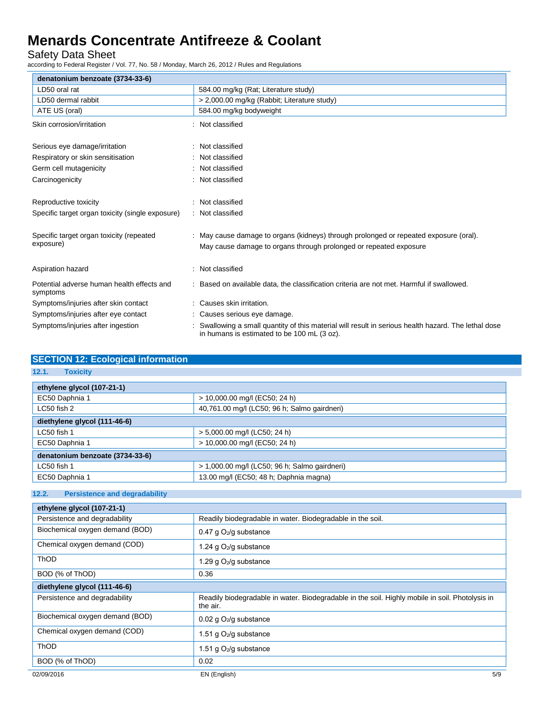Safety Data Sheet

according to Federal Register / Vol. 77, No. 58 / Monday, March 26, 2012 / Rules and Regulations

| denatonium benzoate (3734-33-6)                        |                                                                                                                                                            |
|--------------------------------------------------------|------------------------------------------------------------------------------------------------------------------------------------------------------------|
| LD50 oral rat                                          | 584.00 mg/kg (Rat; Literature study)                                                                                                                       |
| LD50 dermal rabbit                                     | > 2,000.00 mg/kg (Rabbit; Literature study)                                                                                                                |
| ATE US (oral)                                          | 584.00 mg/kg bodyweight                                                                                                                                    |
| Skin corrosion/irritation                              | Not classified                                                                                                                                             |
| Serious eye damage/irritation                          | Not classified                                                                                                                                             |
| Respiratory or skin sensitisation                      | Not classified                                                                                                                                             |
| Germ cell mutagenicity                                 | Not classified                                                                                                                                             |
| Carcinogenicity                                        | Not classified                                                                                                                                             |
| Reproductive toxicity                                  | Not classified                                                                                                                                             |
| Specific target organ toxicity (single exposure)       | Not classified                                                                                                                                             |
| Specific target organ toxicity (repeated<br>exposure)  | : May cause damage to organs (kidneys) through prolonged or repeated exposure (oral).<br>May cause damage to organs through prolonged or repeated exposure |
| Aspiration hazard                                      | Not classified                                                                                                                                             |
| Potential adverse human health effects and<br>symptoms | Based on available data, the classification criteria are not met. Harmful if swallowed.                                                                    |
| Symptoms/injuries after skin contact                   | Causes skin irritation.                                                                                                                                    |
| Symptoms/injuries after eye contact                    | Causes serious eye damage.                                                                                                                                 |
| Symptoms/injuries after ingestion                      | Swallowing a small quantity of this material will result in serious health hazard. The lethal dose<br>in humans is estimated to be 100 mL (3 oz).          |

| <b>SECTION 12: Ecological information</b> |                                               |  |
|-------------------------------------------|-----------------------------------------------|--|
| 12.1.<br><b>Toxicity</b>                  |                                               |  |
| ethylene glycol (107-21-1)                |                                               |  |
| EC50 Daphnia 1                            | > 10,000.00 mg/l (EC50; 24 h)                 |  |
| LC50 fish 2                               | 40,761.00 mg/l (LC50; 96 h; Salmo gairdneri)  |  |
| diethylene glycol (111-46-6)              |                                               |  |
| LC50 fish 1                               | > 5,000.00 mg/l (LC50; 24 h)                  |  |
| EC50 Daphnia 1                            | > 10,000.00 mg/l (EC50; 24 h)                 |  |
| denatonium benzoate (3734-33-6)           |                                               |  |
| LC50 fish 1                               | > 1,000.00 mg/l (LC50; 96 h; Salmo gairdneri) |  |
| EC50 Daphnia 1                            | 13.00 mg/l (EC50; 48 h; Daphnia magna)        |  |

### **12.2. Persistence and degradability**

| ethylene glycol (107-21-1)      |                                                                                                             |
|---------------------------------|-------------------------------------------------------------------------------------------------------------|
| Persistence and degradability   | Readily biodegradable in water. Biodegradable in the soil.                                                  |
| Biochemical oxygen demand (BOD) | 0.47 g $O_2$ /g substance                                                                                   |
| Chemical oxygen demand (COD)    | 1.24 g O <sub>2</sub> /g substance                                                                          |
| <b>ThOD</b>                     | 1.29 g O <sub>2</sub> /g substance                                                                          |
| BOD (% of ThOD)                 | 0.36                                                                                                        |
| diethylene glycol (111-46-6)    |                                                                                                             |
| Persistence and degradability   | Readily biodegradable in water. Biodegradable in the soil. Highly mobile in soil. Photolysis in<br>the air. |
| Biochemical oxygen demand (BOD) | 0.02 g O <sub>2</sub> /g substance                                                                          |
| Chemical oxygen demand (COD)    | 1.51 g $O_2$ /g substance                                                                                   |
| ThOD                            | 1.51 g $O_2$ /g substance                                                                                   |
| BOD (% of ThOD)                 | 0.02                                                                                                        |
| 02/09/2016                      | EN (English)<br>5/9                                                                                         |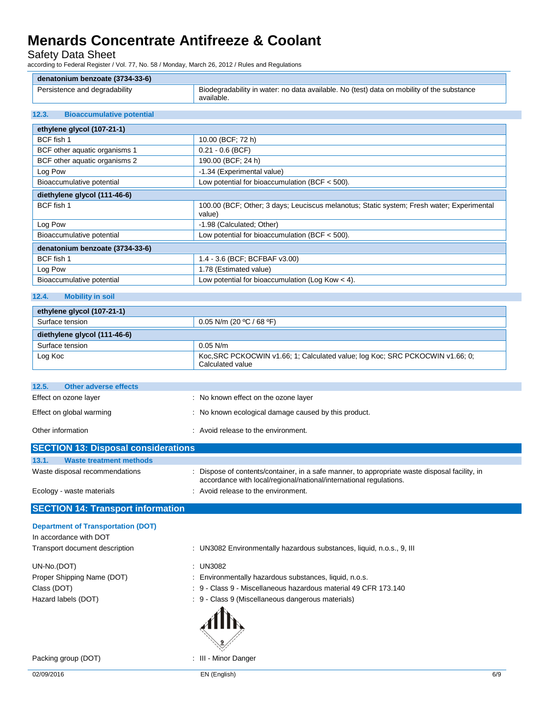Safety Data Sheet

according to Federal Register / Vol. 77, No. 58 / Monday, March 26, 2012 / Rules and Regulations

| denatonium benzoate (3734-33-6) |                                                                                           |
|---------------------------------|-------------------------------------------------------------------------------------------|
| Persistence and degradability   | Biodegradability in water: no data available. No (test) data on mobility of the substance |
|                                 | available.                                                                                |

### **12.3. Bioaccumulative potential**

| ethylene glycol (107-21-1)      |                                                                                                     |  |
|---------------------------------|-----------------------------------------------------------------------------------------------------|--|
| BCF fish 1                      | 10.00 (BCF; 72 h)                                                                                   |  |
| BCF other aquatic organisms 1   | $0.21 - 0.6$ (BCF)                                                                                  |  |
| BCF other aquatic organisms 2   | 190.00 (BCF; 24 h)                                                                                  |  |
| Log Pow                         | -1.34 (Experimental value)                                                                          |  |
| Bioaccumulative potential       | Low potential for bioaccumulation (BCF $<$ 500).                                                    |  |
| diethylene glycol (111-46-6)    |                                                                                                     |  |
| BCF fish 1                      | 100.00 (BCF; Other; 3 days; Leuciscus melanotus; Static system; Fresh water; Experimental<br>value) |  |
| Log Pow                         | -1.98 (Calculated; Other)                                                                           |  |
| Bioaccumulative potential       | Low potential for bioaccumulation (BCF $<$ 500).                                                    |  |
| denatonium benzoate (3734-33-6) |                                                                                                     |  |
| BCF fish 1                      | 1.4 - 3.6 (BCF; BCFBAF v3.00)                                                                       |  |
| Log Pow                         | 1.78 (Estimated value)                                                                              |  |
| Bioaccumulative potential       | Low potential for bioaccumulation (Log Kow $<$ 4).                                                  |  |

### **12.4. Mobility in soil**

| ethylene glycol (107-21-1)   |                                                                                                   |
|------------------------------|---------------------------------------------------------------------------------------------------|
| Surface tension              | 0.05 N/m (20 °C / 68 °F)                                                                          |
| diethylene glycol (111-46-6) |                                                                                                   |
| Surface tension              | $0.05$ N/m                                                                                        |
| Log Koc                      | Koc, SRC PCKOCWIN v1.66; 1; Calculated value; log Koc; SRC PCKOCWIN v1.66; 0;<br>Calculated value |

| 12.5.<br>Other adverse effects             |                                                      |
|--------------------------------------------|------------------------------------------------------|
| Effect on ozone layer                      | : No known effect on the ozone layer                 |
| Effect on global warming                   | : No known ecological damage caused by this product. |
| Other information                          | : Avoid release to the environment.                  |
| <b>SECTION 13: Disposal considerations</b> |                                                      |
| 13.1<br>Waste treatment methods            |                                                      |

| Waste disposal recommendations | : Dispose of contents/container, in a safe manner, to appropriate waste disposal facility, in<br>accordance with local/regional/national/international regulations. |
|--------------------------------|---------------------------------------------------------------------------------------------------------------------------------------------------------------------|
| Ecology - waste materials      | : Avoid release to the environment.                                                                                                                                 |

### **SECTION 14: Transport information Department of Transportation (DOT)**

| Department of Transportation (DOT) |                                                                       |
|------------------------------------|-----------------------------------------------------------------------|
| In accordance with DOT             |                                                                       |
| Transport document description     | : UN3082 Environmentally hazardous substances, liquid, n.o.s., 9, III |
| UN-No.(DOT)                        | : UN3082                                                              |
| Proper Shipping Name (DOT)         | Environmentally hazardous substances, liquid, n.o.s.                  |
| Class (DOT)                        | : 9 - Class 9 - Miscellaneous hazardous material 49 CFR 173.140       |
| Hazard labels (DOT)                | : 9 - Class 9 (Miscellaneous dangerous materials)                     |
|                                    |                                                                       |

Packing group (DOT) **in the case of the COV**  $\sim$  100  $\cdot$  111 - Minor Danger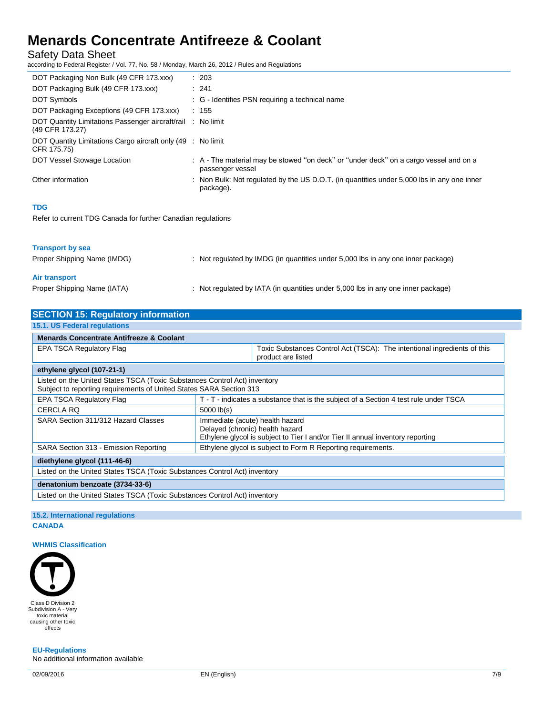Safety Data Sheet

according to Federal Register / Vol. 77, No. 58 / Monday, March 26, 2012 / Rules and Regulations

| DOT Packaging Non Bulk (49 CFR 173.xxx)                                        | : 203                                                                                                     |
|--------------------------------------------------------------------------------|-----------------------------------------------------------------------------------------------------------|
| DOT Packaging Bulk (49 CFR 173.xxx)                                            | : 241                                                                                                     |
| <b>DOT Symbols</b>                                                             | : G - Identifies PSN requiring a technical name                                                           |
| DOT Packaging Exceptions (49 CFR 173.xxx)                                      | : 155                                                                                                     |
| DOT Quantity Limitations Passenger aircraft/rail : No limit<br>(49 CFR 173.27) |                                                                                                           |
| DOT Quantity Limitations Cargo aircraft only (49 : No limit<br>CFR 175.75)     |                                                                                                           |
| DOT Vessel Stowage Location                                                    | : A - The material may be stowed "on deck" or "under deck" on a cargo vessel and on a<br>passenger vessel |
| Other information                                                              | : Non Bulk: Not regulated by the US D.O.T. (in quantities under 5,000 lbs in any one inner<br>package).   |
| <b>TDG</b>                                                                     |                                                                                                           |
| Refer to current TDG Canada for further Canadian regulations                   |                                                                                                           |

### **Transport by sea**

| Proper Shipping Name (IMDG) | Not regulated by IMDG (in quantities under 5,000 lbs in any one inner package) |
|-----------------------------|--------------------------------------------------------------------------------|
| Air transport               |                                                                                |
| Proper Shipping Name (IATA) | Not regulated by IATA (in quantities under 5,000 lbs in any one inner package) |

| <b>Menards Concentrate Antifreeze &amp; Coolant</b><br>Toxic Substances Control Act (TSCA): The intentional ingredients of this<br>EPA TSCA Regulatory Flag<br>product are listed<br>ethylene glycol (107-21-1)<br>Listed on the United States TSCA (Toxic Substances Control Act) inventory<br>Subject to reporting requirements of United States SARA Section 313<br><b>EPA TSCA Regulatory Flag</b><br>T - T - indicates a substance that is the subject of a Section 4 test rule under TSCA<br><b>CERCLA RQ</b><br>$5000$ $lb(s)$<br>SARA Section 311/312 Hazard Classes<br>Immediate (acute) health hazard<br>Delayed (chronic) health hazard<br>Ethylene glycol is subject to Tier I and/or Tier II annual inventory reporting<br>Ethylene glycol is subject to Form R Reporting requirements.<br>SARA Section 313 - Emission Reporting<br>diethylene glycol (111-46-6)<br>Listed on the United States TSCA (Toxic Substances Control Act) inventory<br>denatonium benzoate (3734-33-6) | <b>SECTION 15: Regulatory information</b> |  |  |
|-----------------------------------------------------------------------------------------------------------------------------------------------------------------------------------------------------------------------------------------------------------------------------------------------------------------------------------------------------------------------------------------------------------------------------------------------------------------------------------------------------------------------------------------------------------------------------------------------------------------------------------------------------------------------------------------------------------------------------------------------------------------------------------------------------------------------------------------------------------------------------------------------------------------------------------------------------------------------------------------------|-------------------------------------------|--|--|
|                                                                                                                                                                                                                                                                                                                                                                                                                                                                                                                                                                                                                                                                                                                                                                                                                                                                                                                                                                                               | 15.1. US Federal regulations              |  |  |
|                                                                                                                                                                                                                                                                                                                                                                                                                                                                                                                                                                                                                                                                                                                                                                                                                                                                                                                                                                                               |                                           |  |  |
|                                                                                                                                                                                                                                                                                                                                                                                                                                                                                                                                                                                                                                                                                                                                                                                                                                                                                                                                                                                               |                                           |  |  |
|                                                                                                                                                                                                                                                                                                                                                                                                                                                                                                                                                                                                                                                                                                                                                                                                                                                                                                                                                                                               |                                           |  |  |
|                                                                                                                                                                                                                                                                                                                                                                                                                                                                                                                                                                                                                                                                                                                                                                                                                                                                                                                                                                                               |                                           |  |  |
|                                                                                                                                                                                                                                                                                                                                                                                                                                                                                                                                                                                                                                                                                                                                                                                                                                                                                                                                                                                               |                                           |  |  |
|                                                                                                                                                                                                                                                                                                                                                                                                                                                                                                                                                                                                                                                                                                                                                                                                                                                                                                                                                                                               |                                           |  |  |
|                                                                                                                                                                                                                                                                                                                                                                                                                                                                                                                                                                                                                                                                                                                                                                                                                                                                                                                                                                                               |                                           |  |  |
|                                                                                                                                                                                                                                                                                                                                                                                                                                                                                                                                                                                                                                                                                                                                                                                                                                                                                                                                                                                               |                                           |  |  |
|                                                                                                                                                                                                                                                                                                                                                                                                                                                                                                                                                                                                                                                                                                                                                                                                                                                                                                                                                                                               |                                           |  |  |
|                                                                                                                                                                                                                                                                                                                                                                                                                                                                                                                                                                                                                                                                                                                                                                                                                                                                                                                                                                                               |                                           |  |  |
|                                                                                                                                                                                                                                                                                                                                                                                                                                                                                                                                                                                                                                                                                                                                                                                                                                                                                                                                                                                               |                                           |  |  |
| Listed on the United States TSCA (Toxic Substances Control Act) inventory                                                                                                                                                                                                                                                                                                                                                                                                                                                                                                                                                                                                                                                                                                                                                                                                                                                                                                                     |                                           |  |  |

### **15.2. International regulations CANADA**

### **WHMIS Classification**



**EU-Regulations** No additional information available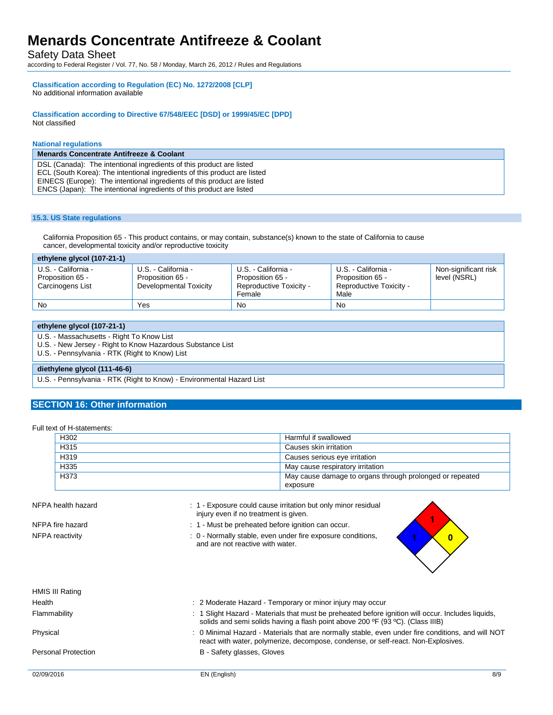Safety Data Sheet

according to Federal Register / Vol. 77, No. 58 / Monday, March 26, 2012 / Rules and Regulations

#### **Classification according to Regulation (EC) No. 1272/2008 [CLP]** No additional information available

**Classification according to Directive 67/548/EEC [DSD] or 1999/45/EC [DPD]** Not classified

#### **National regulations**

**Menards Concentrate Antifreeze & Coolant** DSL (Canada): The intentional ingredients of this product are listed ECL (South Korea): The intentional ingredients of this product are listed EINECS (Europe): The intentional ingredients of this product are listed ENCS (Japan): The intentional ingredients of this product are listed

#### **15.3. US State regulations**

California Proposition 65 - This product contains, or may contain, substance(s) known to the state of California to cause cancer, developmental toxicity and/or reproductive toxicity

| ethylene glycol (107-21-1)                                  |                                                                   |                                                                              |                                                                            |                                      |
|-------------------------------------------------------------|-------------------------------------------------------------------|------------------------------------------------------------------------------|----------------------------------------------------------------------------|--------------------------------------|
| U.S. - California -<br>Proposition 65 -<br>Carcinogens List | U.S. - California -<br>Proposition 65 -<br>Developmental Toxicity | U.S. - California -<br>Proposition 65 -<br>Reproductive Toxicity -<br>Female | U.S. - California -<br>Proposition 65 -<br>Reproductive Toxicity -<br>Male | Non-significant risk<br>level (NSRL) |
| <b>No</b>                                                   | Yes                                                               | No                                                                           | No                                                                         |                                      |

|  |  | ethylene glycol (107-21-1) |
|--|--|----------------------------|
|--|--|----------------------------|

U.S. - Massachusetts - Right To Know List

U.S. - New Jersey - Right to Know Hazardous Substance List

U.S. - Pennsylvania - RTK (Right to Know) List

#### **diethylene glycol (111-46-6)**

U.S. - Pennsylvania - RTK (Right to Know) - Environmental Hazard List

### **SECTION 16: Other information**

#### Full text of H-statements:

| H302 | Harmful if swallowed                                                 |
|------|----------------------------------------------------------------------|
| H315 | Causes skin irritation                                               |
| H319 | Causes serious eye irritation                                        |
| H335 | May cause respiratory irritation                                     |
| H373 | May cause damage to organs through prolonged or repeated<br>exposure |

NFPA health hazard **in the state of the Could cause irritation but only minor residual** in the Section but only minor residual

injury even if no treatment is given.

- NFPA fire hazard **in the state of the state of the state of the state of the state of the state of the state of the state of the state of the state of the state of the state of the state of the state of the state of the st**
- NFPA reactivity **interest and the COLOGY** of  $\alpha$  Normally stable, even under fire exposure conditions, and are not reactive with water.

 $\overline{\mathbf{0}}$